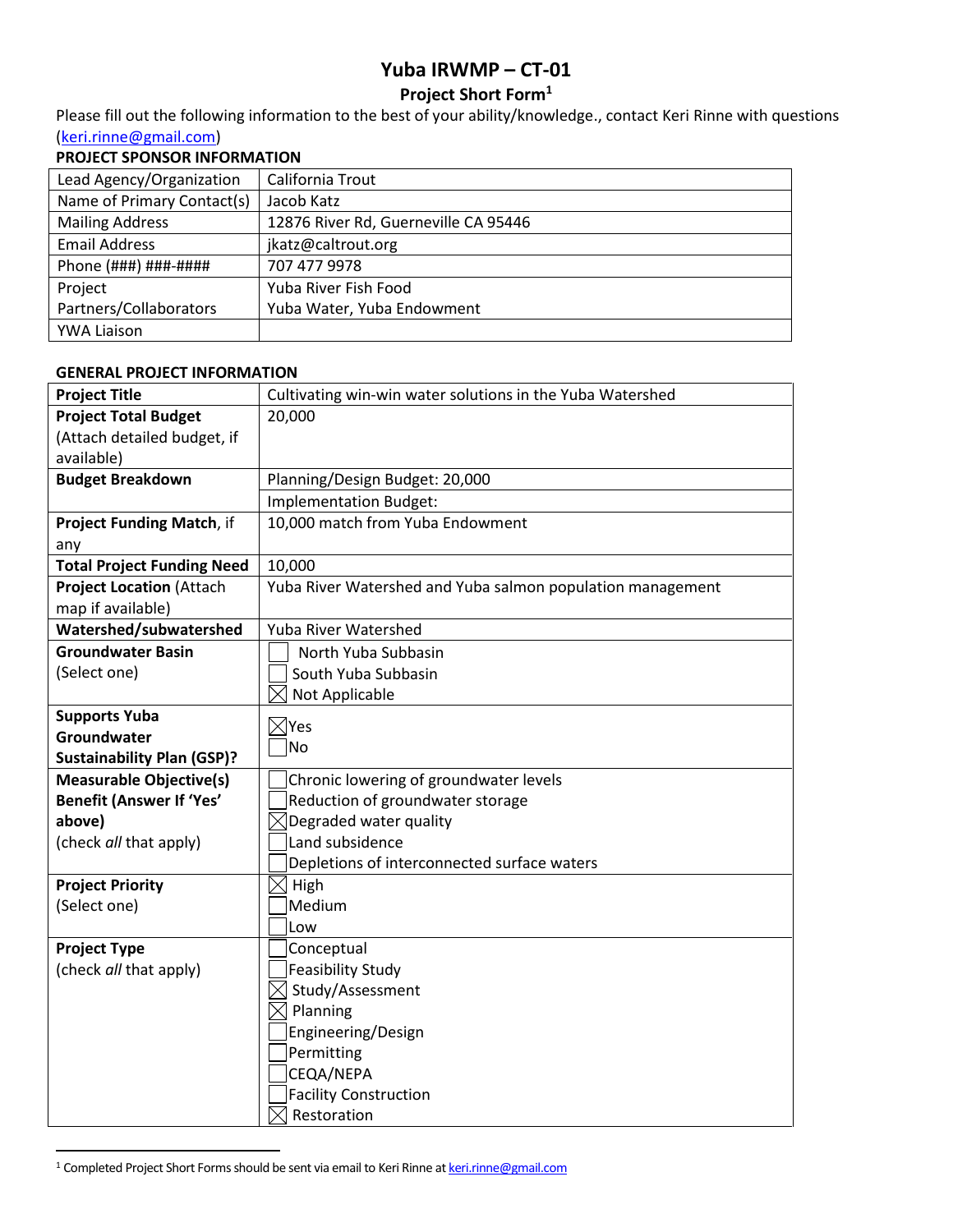# **Yuba IRWMP – CT-01**

# **Project Short Form<sup>1</sup>**

Please fill out the following information to the best of your ability/knowledge., contact Keri Rinne with questions [\(keri.rinne@gmail.com\)](mailto:keri.rinne@gmail.com)

## **PROJECT SPONSOR INFORMATION**

| Lead Agency/Organization   | California Trout                     |
|----------------------------|--------------------------------------|
| Name of Primary Contact(s) | Jacob Katz                           |
| <b>Mailing Address</b>     | 12876 River Rd, Guerneville CA 95446 |
| <b>Email Address</b>       | jkatz@caltrout.org                   |
| Phone (###) ###-####       | 707 477 9978                         |
| Project                    | Yuba River Fish Food                 |
| Partners/Collaborators     | Yuba Water, Yuba Endowment           |
| <b>YWA Liaison</b>         |                                      |

#### **GENERAL PROJECT INFORMATION**

| <b>Project Title</b>              | Cultivating win-win water solutions in the Yuba Watershed  |
|-----------------------------------|------------------------------------------------------------|
| <b>Project Total Budget</b>       | 20,000                                                     |
| (Attach detailed budget, if       |                                                            |
| available)                        |                                                            |
| <b>Budget Breakdown</b>           | Planning/Design Budget: 20,000                             |
|                                   | Implementation Budget:                                     |
| <b>Project Funding Match, if</b>  | 10,000 match from Yuba Endowment                           |
| any                               |                                                            |
| <b>Total Project Funding Need</b> | 10,000                                                     |
| <b>Project Location (Attach</b>   | Yuba River Watershed and Yuba salmon population management |
| map if available)                 |                                                            |
| Watershed/subwatershed            | Yuba River Watershed                                       |
| <b>Groundwater Basin</b>          | North Yuba Subbasin                                        |
| (Select one)                      | South Yuba Subbasin                                        |
|                                   | Not Applicable                                             |
| <b>Supports Yuba</b>              | $\boxtimes$ Yes                                            |
| Groundwater                       | No                                                         |
| <b>Sustainability Plan (GSP)?</b> |                                                            |
| <b>Measurable Objective(s)</b>    | Chronic lowering of groundwater levels                     |
| <b>Benefit (Answer If 'Yes'</b>   | Reduction of groundwater storage                           |
| above)                            | $\bowtie$ Degraded water quality                           |
| (check all that apply)            | Land subsidence                                            |
|                                   | Depletions of interconnected surface waters                |
| <b>Project Priority</b>           | $\boxtimes$ High                                           |
| (Select one)                      | Medium                                                     |
|                                   | Low                                                        |
| <b>Project Type</b>               | Conceptual                                                 |
| (check all that apply)            | Feasibility Study                                          |
|                                   | Study/Assessment                                           |
|                                   | Planning                                                   |
|                                   | Engineering/Design                                         |
|                                   | Permitting                                                 |
|                                   | CEQA/NEPA                                                  |
|                                   | Facility Construction                                      |
|                                   | Restoration                                                |

<sup>&</sup>lt;sup>1</sup> Completed Project Short Forms should be sent via email to Keri Rinne a[t keri.rinne@gmail.com](mailto:keri.rinne@gmail.com)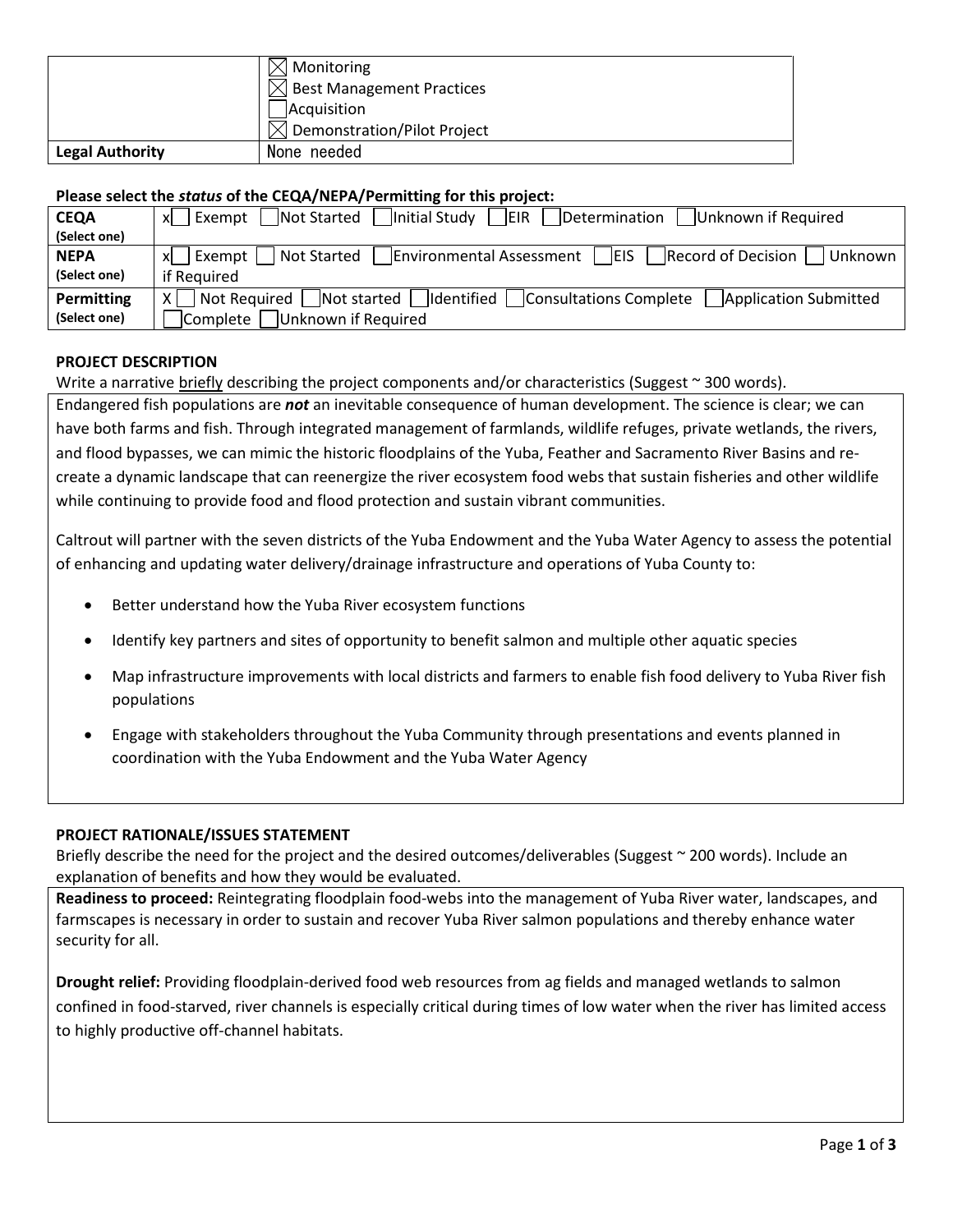|                        | Monitoring                       |
|------------------------|----------------------------------|
|                        | <b>Best Management Practices</b> |
|                        | Acquisition                      |
|                        | Demonstration/Pilot Project      |
| <b>Legal Authority</b> | None needed                      |

## **Please select the** *status* **of the CEQA/NEPA/Permitting for this project:**

| <b>CEQA</b>  | Not Started<br> Initial Study  <br> EIR <br>Unknown if Required<br>Determination<br>Exempt  <br>xl                                                           |
|--------------|--------------------------------------------------------------------------------------------------------------------------------------------------------------|
| (Select one) |                                                                                                                                                              |
| <b>NEPA</b>  | $\sqrt{\frac{1}{2}}$ Environmental Assessment $\sqrt{\frac{1}{2}}$ EIS $\sqrt{\frac{1}{2}}$ Record of Decision<br>  Not Started<br>Unknown<br>Exempt  <br>xl |
| (Select one) | if Required                                                                                                                                                  |
| Permitting   | Not Required Not started Identified Consultations Complete<br><b>Application Submitted</b><br>$\times$                                                       |
| (Select one) | Complete<br>Unknown if Required                                                                                                                              |

### **PROJECT DESCRIPTION**

### Write a narrative briefly describing the project components and/or characteristics (Suggest  $\sim$  300 words).

Endangered fish populations are *not* an inevitable consequence of human development. The science is clear; we can have both farms and fish. Through integrated management of farmlands, wildlife refuges, private wetlands, the rivers, and flood bypasses, we can mimic the historic floodplains of the Yuba, Feather and Sacramento River Basins and recreate a dynamic landscape that can reenergize the river ecosystem food webs that sustain fisheries and other wildlife while continuing to provide food and flood protection and sustain vibrant communities.

Caltrout will partner with the seven districts of the Yuba Endowment and the Yuba Water Agency to assess the potential of enhancing and updating water delivery/drainage infrastructure and operations of Yuba County to:

- Better understand how the Yuba River ecosystem functions
- Identify key partners and sites of opportunity to benefit salmon and multiple other aquatic species
- Map infrastructure improvements with local districts and farmers to enable fish food delivery to Yuba River fish populations
- Engage with stakeholders throughout the Yuba Community through presentations and events planned in coordination with the Yuba Endowment and the Yuba Water Agency

#### **PROJECT RATIONALE/ISSUES STATEMENT**

Briefly describe the need for the project and the desired outcomes/deliverables (Suggest ~ 200 words). Include an explanation of benefits and how they would be evaluated.

**Readiness to proceed:** Reintegrating floodplain food-webs into the management of Yuba River water, landscapes, and farmscapes is necessary in order to sustain and recover Yuba River salmon populations and thereby enhance water security for all.

**Drought relief:** Providing floodplain-derived food web resources from ag fields and managed wetlands to salmon confined in food-starved, river channels is especially critical during times of low water when the river has limited access to highly productive off-channel habitats.